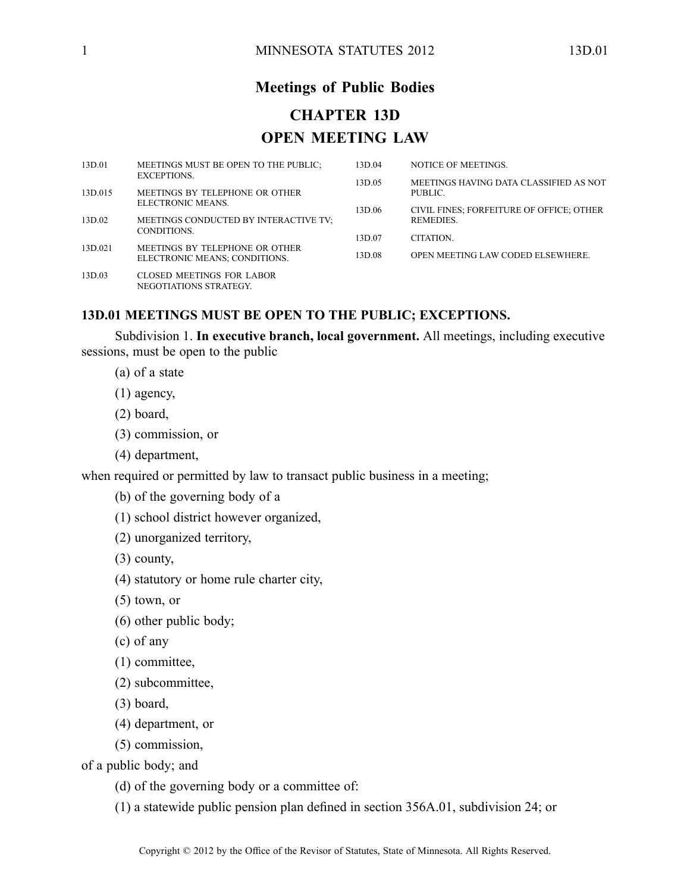# **Meetings of Public Bodies CHAPTER 13D OPEN MEETING LAW**

| 13D.01            | MEETINGS MUST BE OPEN TO THE PUBLIC;                       | 13D.04 | NOTICE OF MEETINGS.                      |
|-------------------|------------------------------------------------------------|--------|------------------------------------------|
|                   | EXCEPTIONS.                                                | 13D.05 | MEETINGS HAVING DATA CLASSIFIED AS NOT   |
| 13D.015           | MEETINGS BY TELEPHONE OR OTHER<br>ELECTRONIC MEANS.        |        | PUBLIC.                                  |
|                   |                                                            | 13D.06 | CIVIL FINES; FORFEITURE OF OFFICE; OTHER |
| 13D.02<br>13D.021 | MEETINGS CONDUCTED BY INTERACTIVE TV:<br>CONDITIONS.       |        | REMEDIES.                                |
|                   | MEETINGS BY TELEPHONE OR OTHER                             | 13D.07 | <b>CITATION</b>                          |
|                   | ELECTRONIC MEANS; CONDITIONS.                              | 13D.08 | <b>OPEN MEETING LAW CODED ELSEWHERE.</b> |
| 13D.03            | <b>CLOSED MEETINGS FOR LABOR</b><br>NEGOTIATIONS STRATEGY. |        |                                          |

## **13D.01 MEETINGS MUST BE OPEN TO THE PUBLIC; EXCEPTIONS.**

Subdivision 1. **In executive branch, local government.** All meetings, including executive sessions, must be open to the public

- (a) of <sup>a</sup> state
- (1) agency,
- (2) board,
- (3) commission, or
- (4) department,

when required or permitted by law to transact public business in a meeting;

- (b) of the governing body of <sup>a</sup>
- (1) school district however organized,
- (2) unorganized territory,
- (3) county,
- (4) statutory or home rule charter city,
- (5) town, or
- (6) other public body;
- (c) of any
- (1) committee,
- (2) subcommittee,
- (3) board,
- (4) department, or
- (5) commission,

of <sup>a</sup> public body; and

- (d) of the governing body or <sup>a</sup> committee of:
- (1) <sup>a</sup> statewide public pension plan defined in section 356A.01, subdivision 24; or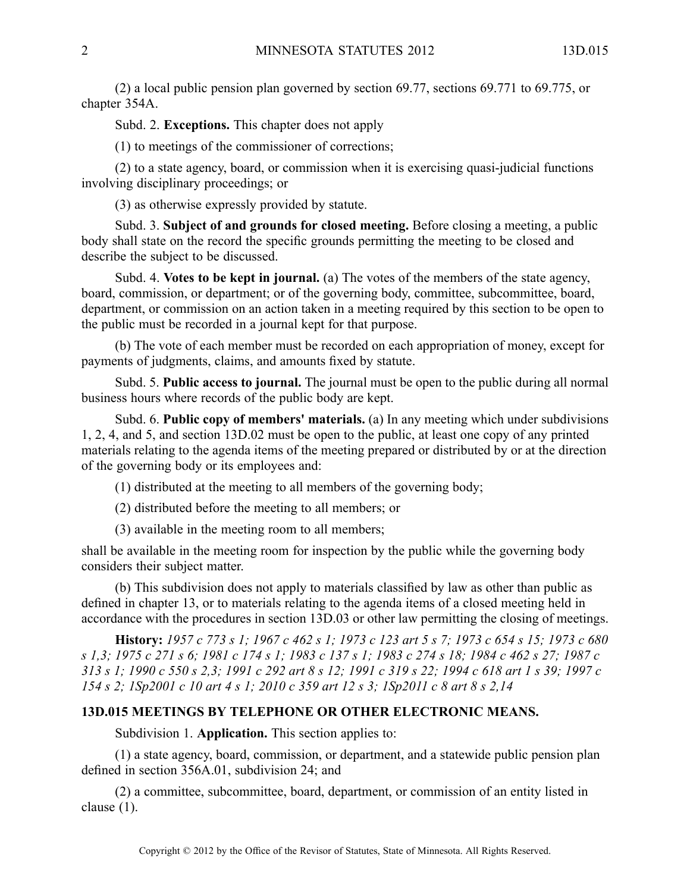(2) <sup>a</sup> local public pension plan governed by section 69.77, sections 69.771 to 69.775, or chapter 354A.

Subd. 2. **Exceptions.** This chapter does not apply

(1) to meetings of the commissioner of corrections;

(2) to <sup>a</sup> state agency, board, or commission when it is exercising quasi-judicial functions involving disciplinary proceedings; or

(3) as otherwise expressly provided by statute.

Subd. 3. **Subject of and grounds for closed meeting.** Before closing <sup>a</sup> meeting, <sup>a</sup> public body shall state on the record the specific grounds permitting the meeting to be closed and describe the subject to be discussed.

Subd. 4. **Votes to be kept in journal.** (a) The votes of the members of the state agency, board, commission, or department; or of the governing body, committee, subcommittee, board, department, or commission on an action taken in <sup>a</sup> meeting required by this section to be open to the public must be recorded in <sup>a</sup> journal kept for that purpose.

(b) The vote of each member must be recorded on each appropriation of money, excep<sup>t</sup> for payments of judgments, claims, and amounts fixed by statute.

Subd. 5. **Public access to journal.** The journal must be open to the public during all normal business hours where records of the public body are kept.

Subd. 6. **Public copy of members' materials.** (a) In any meeting which under subdivisions 1, 2, 4, and 5, and section 13D.02 must be open to the public, at least one copy of any printed materials relating to the agenda items of the meeting prepared or distributed by or at the direction of the governing body or its employees and:

(1) distributed at the meeting to all members of the governing body;

(2) distributed before the meeting to all members; or

(3) available in the meeting room to all members;

shall be available in the meeting room for inspection by the public while the governing body considers their subject matter.

(b) This subdivision does not apply to materials classified by law as other than public as defined in chapter 13, or to materials relating to the agenda items of <sup>a</sup> closed meeting held in accordance with the procedures in section 13D.03 or other law permitting the closing of meetings.

History: 1957 c 773 s 1; 1967 c 462 s 1; 1973 c 123 art 5 s 7; 1973 c 654 s 15; 1973 c 680 s 1,3; 1975 c 271 s 6; 1981 c 174 s 1; 1983 c 137 s 1; 1983 c 274 s 18; 1984 c 462 s 27; 1987 c 313 s 1; 1990 c 550 s 2,3; 1991 c 292 art 8 s 12; 1991 c 319 s 22; 1994 c 618 art 1 s 39; 1997 c 154 s 2; 1Sp2001 c 10 art 4 s 1; 2010 c 359 art 12 s 3; 1Sp2011 c 8 art 8 s 2,14

## **13D.015 MEETINGS BY TELEPHONE OR OTHER ELECTRONIC MEANS.**

Subdivision 1. **Application.** This section applies to:

(1) <sup>a</sup> state agency, board, commission, or department, and <sup>a</sup> statewide public pension plan defined in section 356A.01, subdivision 24; and

(2) <sup>a</sup> committee, subcommittee, board, department, or commission of an entity listed in clause (1).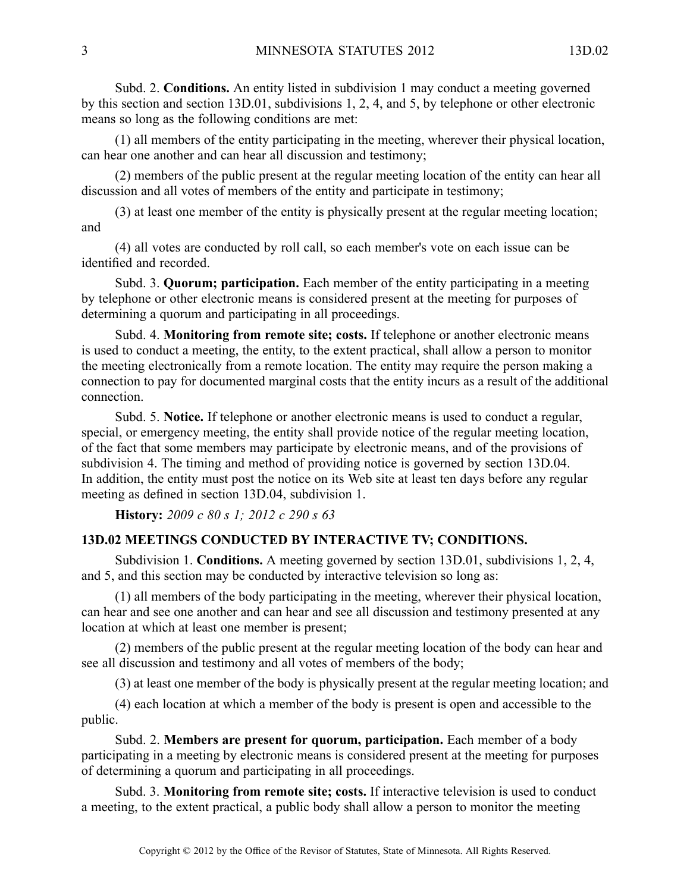Subd. 2. **Conditions.** An entity listed in subdivision 1 may conduct <sup>a</sup> meeting governed by this section and section 13D.01, subdivisions 1, 2, 4, and 5, by telephone or other electronic means so long as the following conditions are met:

(1) all members of the entity participating in the meeting, wherever their physical location, can hear one another and can hear all discussion and testimony;

(2) members of the public presen<sup>t</sup> at the regular meeting location of the entity can hear all discussion and all votes of members of the entity and participate in testimony;

(3) at least one member of the entity is physically presen<sup>t</sup> at the regular meeting location; and

(4) all votes are conducted by roll call, so each member's vote on each issue can be identified and recorded.

Subd. 3. **Quorum; participation.** Each member of the entity participating in <sup>a</sup> meeting by telephone or other electronic means is considered presen<sup>t</sup> at the meeting for purposes of determining <sup>a</sup> quorum and participating in all proceedings.

Subd. 4. **Monitoring from remote site; costs.** If telephone or another electronic means is used to conduct <sup>a</sup> meeting, the entity, to the extent practical, shall allow <sup>a</sup> person to monitor the meeting electronically from <sup>a</sup> remote location. The entity may require the person making <sup>a</sup> connection to pay for documented marginal costs that the entity incurs as <sup>a</sup> result of the additional connection.

Subd. 5. **Notice.** If telephone or another electronic means is used to conduct <sup>a</sup> regular, special, or emergency meeting, the entity shall provide notice of the regular meeting location, of the fact that some members may participate by electronic means, and of the provisions of subdivision 4. The timing and method of providing notice is governed by section 13D.04. In addition, the entity must pos<sup>t</sup> the notice on its Web site at least ten days before any regular meeting as defined in section 13D.04, subdivision 1.

**History:** *2009 <sup>c</sup> 80 <sup>s</sup> 1; 2012 <sup>c</sup> 290 <sup>s</sup> 63*

## **13D.02 MEETINGS CONDUCTED BY INTERACTIVE TV; CONDITIONS.**

Subdivision 1. **Conditions.** A meeting governed by section 13D.01, subdivisions 1, 2, 4, and 5, and this section may be conducted by interactive television so long as:

(1) all members of the body participating in the meeting, wherever their physical location, can hear and see one another and can hear and see all discussion and testimony presented at any location at which at least one member is present;

(2) members of the public presen<sup>t</sup> at the regular meeting location of the body can hear and see all discussion and testimony and all votes of members of the body;

(3) at least one member of the body is physically presen<sup>t</sup> at the regular meeting location; and

(4) each location at which <sup>a</sup> member of the body is presen<sup>t</sup> is open and accessible to the public.

Subd. 2. **Members are presen<sup>t</sup> for quorum, participation.** Each member of <sup>a</sup> body participating in <sup>a</sup> meeting by electronic means is considered presen<sup>t</sup> at the meeting for purposes of determining <sup>a</sup> quorum and participating in all proceedings.

Subd. 3. **Monitoring from remote site; costs.** If interactive television is used to conduct <sup>a</sup> meeting, to the extent practical, <sup>a</sup> public body shall allow <sup>a</sup> person to monitor the meeting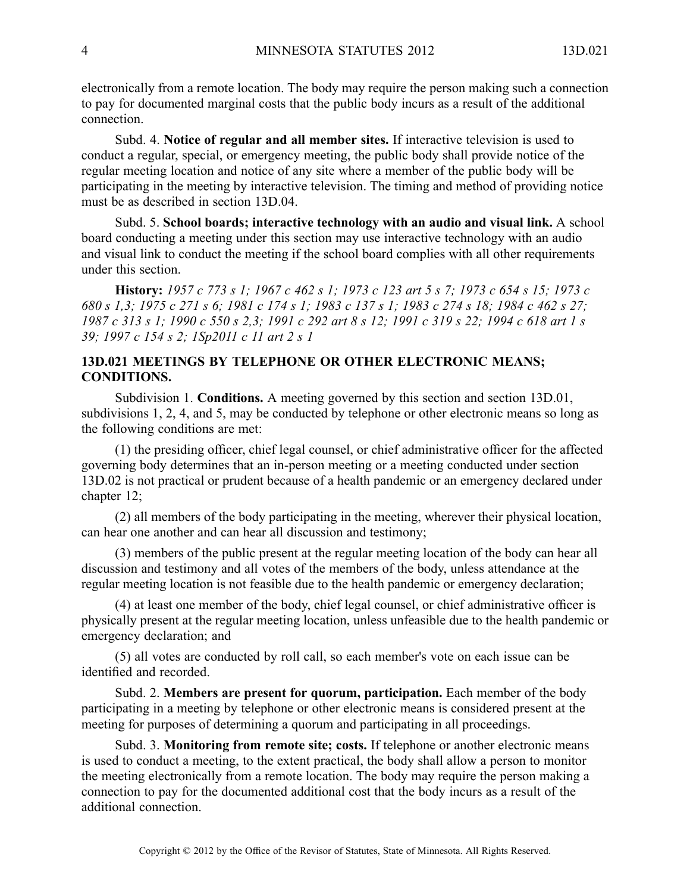electronically from <sup>a</sup> remote location. The body may require the person making such <sup>a</sup> connection to pay for documented marginal costs that the public body incurs as <sup>a</sup> result of the additional connection.

Subd. 4. **Notice of regular and all member sites.** If interactive television is used to conduct <sup>a</sup> regular, special, or emergency meeting, the public body shall provide notice of the regular meeting location and notice of any site where <sup>a</sup> member of the public body will be participating in the meeting by interactive television. The timing and method of providing notice must be as described in section 13D.04.

Subd. 5. **School boards; interactive technology with an audio and visual link.** Aschool board conducting <sup>a</sup> meeting under this section may use interactive technology with an audio and visual link to conduct the meeting if the school board complies with all other requirements under this section.

History: 1957 c 773 s 1; 1967 c 462 s 1; 1973 c 123 art 5 s 7; 1973 c 654 s 15; 1973 c 680 s 1.3: 1975 c 271 s 6: 1981 c 174 s 1: 1983 c 137 s 1: 1983 c 274 s 18: 1984 c 462 s 27: 1987 c 313 s 1; 1990 c 550 s 2,3; 1991 c 292 art 8 s 12; 1991 c 319 s 22; 1994 c 618 art 1 s *39; 1997 <sup>c</sup> 154 <sup>s</sup> 2; 1Sp2011 <sup>c</sup> 11 art 2 <sup>s</sup> 1*

# **13D.021 MEETINGS BY TELEPHONE OR OTHER ELECTRONIC MEANS; CONDITIONS.**

Subdivision 1. **Conditions.** A meeting governed by this section and section 13D.01, subdivisions 1, 2, 4, and 5, may be conducted by telephone or other electronic means so long as the following conditions are met:

(1) the presiding officer, chief legal counsel, or chief administrative officer for the affected governing body determines that an in-person meeting or <sup>a</sup> meeting conducted under section 13D.02 is not practical or prudent because of <sup>a</sup> health pandemic or an emergency declared under chapter 12;

(2) all members of the body participating in the meeting, wherever their physical location, can hear one another and can hear all discussion and testimony;

(3) members of the public presen<sup>t</sup> at the regular meeting location of the body can hear all discussion and testimony and all votes of the members of the body, unless attendance at the regular meeting location is not feasible due to the health pandemic or emergency declaration;

(4) at least one member of the body, chief legal counsel, or chief administrative officer is physically presen<sup>t</sup> at the regular meeting location, unless unfeasible due to the health pandemic or emergency declaration; and

(5) all votes are conducted by roll call, so each member's vote on each issue can be identified and recorded.

Subd. 2. **Members are presen<sup>t</sup> for quorum, participation.** Each member of the body participating in <sup>a</sup> meeting by telephone or other electronic means is considered presen<sup>t</sup> at the meeting for purposes of determining <sup>a</sup> quorum and participating in all proceedings.

Subd. 3. **Monitoring from remote site; costs.** If telephone or another electronic means is used to conduct <sup>a</sup> meeting, to the extent practical, the body shall allow <sup>a</sup> person to monitor the meeting electronically from <sup>a</sup> remote location. The body may require the person making <sup>a</sup> connection to pay for the documented additional cost that the body incurs as <sup>a</sup> result of the additional connection.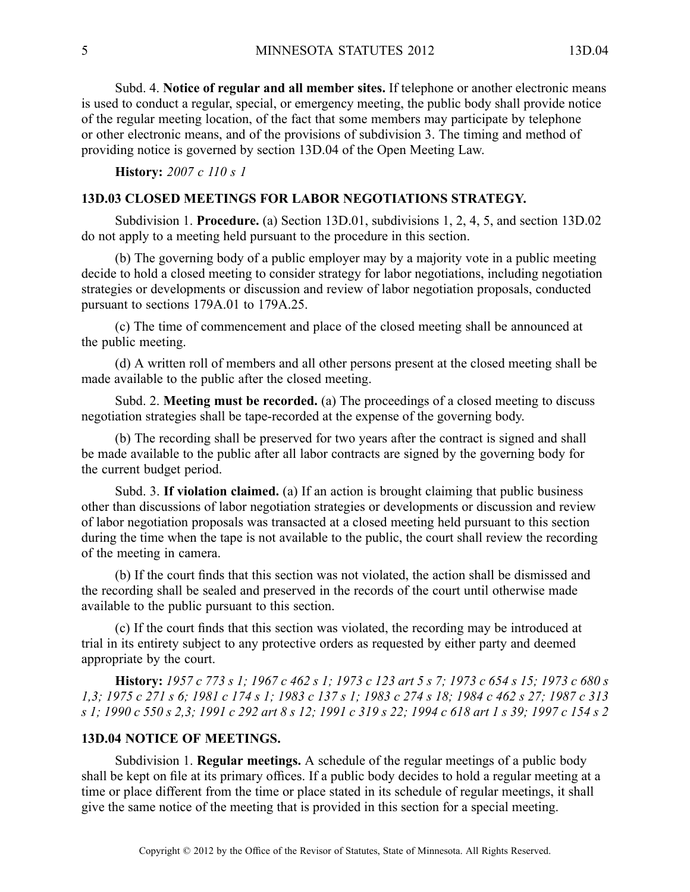Subd. 4. **Notice of regular and all member sites.** If telephone or another electronic means is used to conduct <sup>a</sup> regular, special, or emergency meeting, the public body shall provide notice of the regular meeting location, of the fact that some members may participate by telephone or other electronic means, and of the provisions of subdivision 3. The timing and method of providing notice is governed by section 13D.04 of the Open Meeting Law.

**History:** *2007 <sup>c</sup> 110 <sup>s</sup> 1*

# **13D.03 CLOSED MEETINGS FOR LABOR NEGOTIATIONS STRATEGY.**

Subdivision 1. **Procedure.** (a) Section 13D.01, subdivisions 1, 2, 4, 5, and section 13D.02 do not apply to <sup>a</sup> meeting held pursuan<sup>t</sup> to the procedure in this section.

(b) The governing body of <sup>a</sup> public employer may by <sup>a</sup> majority vote in <sup>a</sup> public meeting decide to hold <sup>a</sup> closed meeting to consider strategy for labor negotiations, including negotiation strategies or developments or discussion and review of labor negotiation proposals, conducted pursuan<sup>t</sup> to sections 179A.01 to 179A.25.

(c) The time of commencement and place of the closed meeting shall be announced at the public meeting.

(d) A written roll of members and all other persons presen<sup>t</sup> at the closed meeting shall be made available to the public after the closed meeting.

Subd. 2. **Meeting must be recorded.** (a) The proceedings of <sup>a</sup> closed meeting to discuss negotiation strategies shall be tape-recorded at the expense of the governing body.

(b) The recording shall be preserved for two years after the contract is signed and shall be made available to the public after all labor contracts are signed by the governing body for the current budget period.

Subd. 3. **If violation claimed.** (a) If an action is brought claiming that public business other than discussions of labor negotiation strategies or developments or discussion and review of labor negotiation proposals was transacted at <sup>a</sup> closed meeting held pursuan<sup>t</sup> to this section during the time when the tape is not available to the public, the court shall review the recording of the meeting in camera.

(b) If the court finds that this section was not violated, the action shall be dismissed and the recording shall be sealed and preserved in the records of the court until otherwise made available to the public pursuan<sup>t</sup> to this section.

(c) If the court finds that this section was violated, the recording may be introduced at trial in its entirety subject to any protective orders as requested by either party and deemed appropriate by the court.

History: 1957 c 773 s 1; 1967 c 462 s 1; 1973 c 123 art 5 s 7; 1973 c 654 s 15; 1973 c 680 s 1,3; 1975 c 271 s 6; 1981 c 174 s 1; 1983 c 137 s 1; 1983 c 274 s 18; 1984 c 462 s 27; 1987 c 313 s 1; 1990 c 550 s 2,3; 1991 c 292 art 8 s 12; 1991 c 319 s 22; 1994 c 618 art 1 s 39; 1997 c 154 s 2

#### **13D.04 NOTICE OF MEETINGS.**

Subdivision 1. **Regular meetings.** A schedule of the regular meetings of <sup>a</sup> public body shall be kept on file at its primary offices. If <sup>a</sup> public body decides to hold <sup>a</sup> regular meeting at <sup>a</sup> time or place different from the time or place stated in its schedule of regular meetings, it shall give the same notice of the meeting that is provided in this section for <sup>a</sup> special meeting.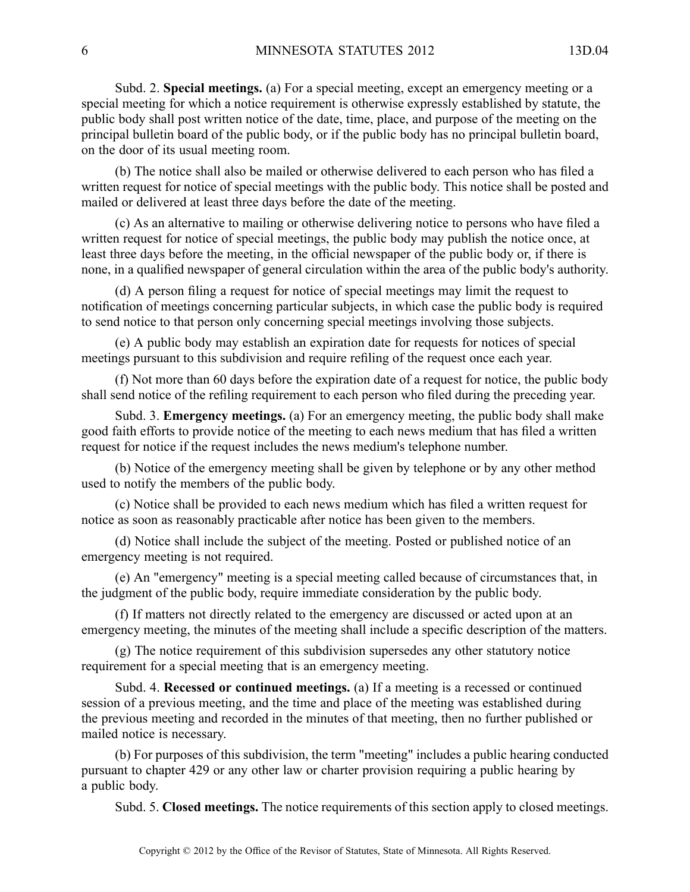Subd. 2. **Special meetings.** (a) For <sup>a</sup> special meeting, excep<sup>t</sup> an emergency meeting or <sup>a</sup> special meeting for which <sup>a</sup> notice requirement is otherwise expressly established by statute, the public body shall pos<sup>t</sup> written notice of the date, time, place, and purpose of the meeting on the principal bulletin board of the public body, or if the public body has no principal bulletin board, on the door of its usual meeting room.

(b) The notice shall also be mailed or otherwise delivered to each person who has filed <sup>a</sup> written reques<sup>t</sup> for notice of special meetings with the public body. This notice shall be posted and mailed or delivered at least three days before the date of the meeting.

(c) As an alternative to mailing or otherwise delivering notice to persons who have filed <sup>a</sup> written reques<sup>t</sup> for notice of special meetings, the public body may publish the notice once, at least three days before the meeting, in the official newspaper of the public body or, if there is none, in <sup>a</sup> qualified newspaper of general circulation within the area of the public body's authority.

(d) A person filing <sup>a</sup> reques<sup>t</sup> for notice of special meetings may limit the reques<sup>t</sup> to notification of meetings concerning particular subjects, in which case the public body is required to send notice to that person only concerning special meetings involving those subjects.

(e) A public body may establish an expiration date for requests for notices of special meetings pursuan<sup>t</sup> to this subdivision and require refiling of the reques<sup>t</sup> once each year.

(f) Not more than 60 days before the expiration date of <sup>a</sup> reques<sup>t</sup> for notice, the public body shall send notice of the refiling requirement to each person who filed during the preceding year.

Subd. 3. **Emergency meetings.** (a) For an emergency meeting, the public body shall make good faith efforts to provide notice of the meeting to each news medium that has filed <sup>a</sup> written reques<sup>t</sup> for notice if the reques<sup>t</sup> includes the news medium's telephone number.

(b) Notice of the emergency meeting shall be given by telephone or by any other method used to notify the members of the public body.

(c) Notice shall be provided to each news medium which has filed <sup>a</sup> written reques<sup>t</sup> for notice as soon as reasonably practicable after notice has been given to the members.

(d) Notice shall include the subject of the meeting. Posted or published notice of an emergency meeting is not required.

(e) An "emergency" meeting is <sup>a</sup> special meeting called because of circumstances that, in the judgment of the public body, require immediate consideration by the public body.

(f) If matters not directly related to the emergency are discussed or acted upon at an emergency meeting, the minutes of the meeting shall include <sup>a</sup> specific description of the matters.

(g) The notice requirement of this subdivision supersedes any other statutory notice requirement for <sup>a</sup> special meeting that is an emergency meeting.

Subd. 4. **Recessed or continued meetings.** (a) If <sup>a</sup> meeting is <sup>a</sup> recessed or continued session of <sup>a</sup> previous meeting, and the time and place of the meeting was established during the previous meeting and recorded in the minutes of that meeting, then no further published or mailed notice is necessary.

(b) For purposes of this subdivision, the term "meeting" includes <sup>a</sup> public hearing conducted pursuan<sup>t</sup> to chapter 429 or any other law or charter provision requiring <sup>a</sup> public hearing by <sup>a</sup> public body.

Subd. 5. **Closed meetings.** The notice requirements of this section apply to closed meetings.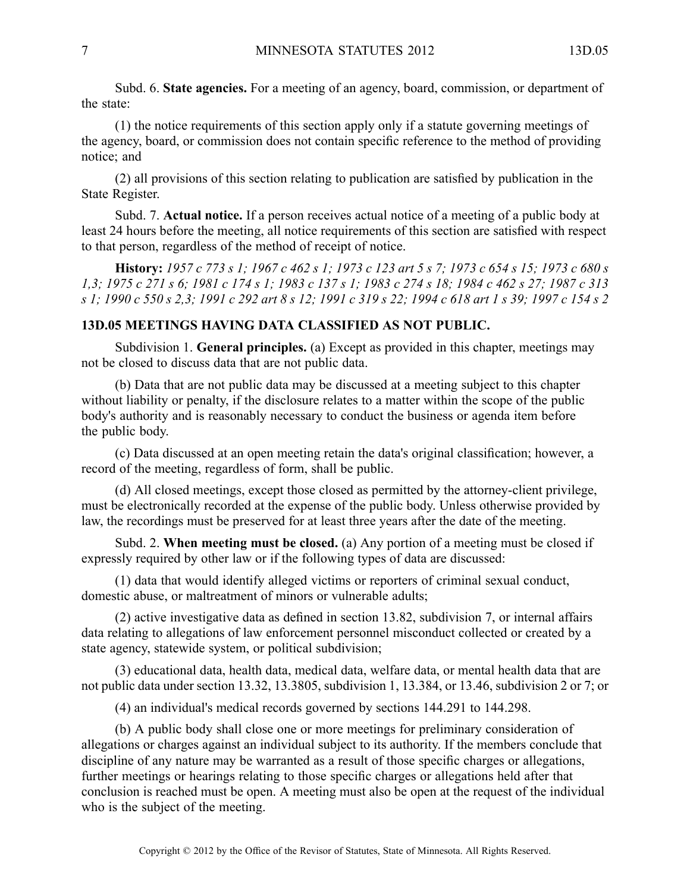Subd. 6. **State agencies.** For <sup>a</sup> meeting of an agency, board, commission, or department of the state:

(1) the notice requirements of this section apply only if <sup>a</sup> statute governing meetings of the agency, board, or commission does not contain specific reference to the method of providing notice; and

(2) all provisions of this section relating to publication are satisfied by publication in the State Register.

Subd. 7. **Actual notice.** If <sup>a</sup> person receives actual notice of <sup>a</sup> meeting of <sup>a</sup> public body at least 24 hours before the meeting, all notice requirements of this section are satisfied with respec<sup>t</sup> to that person, regardless of the method of receipt of notice.

History: 1957 c 773 s 1; 1967 c 462 s 1; 1973 c 123 art 5 s 7; 1973 c 654 s 15; 1973 c 680 s 1,3; 1975 c 271 s 6; 1981 c 174 s 1; 1983 c 137 s 1; 1983 c 274 s 18; 1984 c 462 s 27; 1987 c 313 s 1: 1990 c 550 s 2.3: 1991 c 292 art 8 s 12: 1991 c 319 s 22: 1994 c 618 art 1 s 39: 1997 c 154 s 2

#### **13D.05 MEETINGS HAVING DATA CLASSIFIED AS NOT PUBLIC.**

Subdivision 1. **General principles.** (a) Except as provided in this chapter, meetings may not be closed to discuss data that are not public data.

(b) Data that are not public data may be discussed at <sup>a</sup> meeting subject to this chapter without liability or penalty, if the disclosure relates to a matter within the scope of the public body's authority and is reasonably necessary to conduct the business or agenda item before the public body.

(c) Data discussed at an open meeting retain the data's original classification; however, <sup>a</sup> record of the meeting, regardless of form, shall be public.

(d) All closed meetings, excep<sup>t</sup> those closed as permitted by the attorney-client privilege, must be electronically recorded at the expense of the public body. Unless otherwise provided by law, the recordings must be preserved for at least three years after the date of the meeting.

Subd. 2. **When meeting must be closed.** (a) Any portion of <sup>a</sup> meeting must be closed if expressly required by other law or if the following types of data are discussed:

(1) data that would identify alleged victims or reporters of criminal sexual conduct, domestic abuse, or maltreatment of minors or vulnerable adults;

(2) active investigative data as defined in section 13.82, subdivision 7, or internal affairs data relating to allegations of law enforcement personnel misconduct collected or created by <sup>a</sup> state agency, statewide system, or political subdivision;

(3) educational data, health data, medical data, welfare data, or mental health data that are not public data under section 13.32, 13.3805, subdivision 1, 13.384, or 13.46, subdivision 2 or 7; or

(4) an individual's medical records governed by sections 144.291 to 144.298.

(b) A public body shall close one or more meetings for preliminary consideration of allegations or charges against an individual subject to its authority. If the members conclude that discipline of any nature may be warranted as <sup>a</sup> result of those specific charges or allegations, further meetings or hearings relating to those specific charges or allegations held after that conclusion is reached must be open. A meeting must also be open at the reques<sup>t</sup> of the individual who is the subject of the meeting.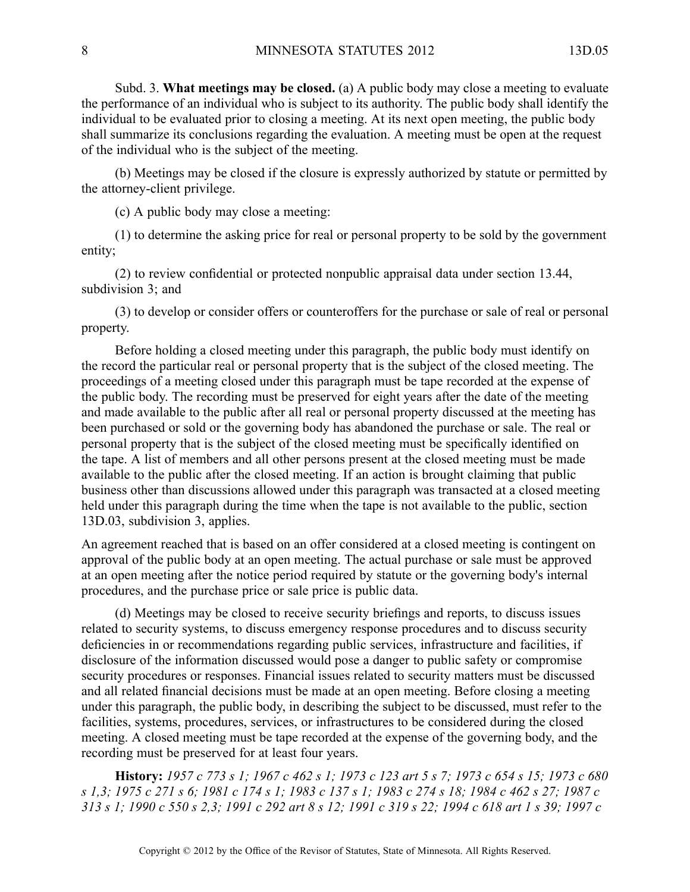Subd. 3. **What meetings may be closed.** (a) A public body may close <sup>a</sup> meeting to evaluate the performance of an individual who is subject to its authority. The public body shall identify the individual to be evaluated prior to closing <sup>a</sup> meeting. At its next open meeting, the public body shall summarize its conclusions regarding the evaluation. A meeting must be open at the request of the individual who is the subject of the meeting.

(b) Meetings may be closed if the closure is expressly authorized by statute or permitted by the attorney-client privilege.

(c) A public body may close <sup>a</sup> meeting:

(1) to determine the asking price for real or personal property to be sold by the governmen<sup>t</sup> entity;

(2) to review confidential or protected nonpublic appraisal data under section 13.44, subdivision 3; and

(3) to develop or consider offers or counteroffers for the purchase or sale of real or personal property.

Before holding <sup>a</sup> closed meeting under this paragraph, the public body must identify on the record the particular real or personal property that is the subject of the closed meeting. The proceedings of <sup>a</sup> meeting closed under this paragraph must be tape recorded at the expense of the public body. The recording must be preserved for eight years after the date of the meeting and made available to the public after all real or personal property discussed at the meeting has been purchased or sold or the governing body has abandoned the purchase or sale. The real or personal property that is the subject of the closed meeting must be specifically identified on the tape. A list of members and all other persons presen<sup>t</sup> at the closed meeting must be made available to the public after the closed meeting. If an action is brought claiming that public business other than discussions allowed under this paragraph was transacted at <sup>a</sup> closed meeting held under this paragraph during the time when the tape is not available to the public, section 13D.03, subdivision 3, applies.

An agreemen<sup>t</sup> reached that is based on an offer considered at <sup>a</sup> closed meeting is contingent on approval of the public body at an open meeting. The actual purchase or sale must be approved at an open meeting after the notice period required by statute or the governing body's internal procedures, and the purchase price or sale price is public data.

(d) Meetings may be closed to receive security briefings and reports, to discuss issues related to security systems, to discuss emergency response procedures and to discuss security deficiencies in or recommendations regarding public services, infrastructure and facilities, if disclosure of the information discussed would pose <sup>a</sup> danger to public safety or compromise security procedures or responses. Financial issues related to security matters must be discussed and all related financial decisions must be made at an open meeting. Before closing <sup>a</sup> meeting under this paragraph, the public body, in describing the subject to be discussed, must refer to the facilities, systems, procedures, services, or infrastructures to be considered during the closed meeting. A closed meeting must be tape recorded at the expense of the governing body, and the recording must be preserved for at least four years.

History: 1957 c 773 s 1; 1967 c 462 s 1; 1973 c 123 art 5 s 7; 1973 c 654 s 15; 1973 c 680 s 1,3; 1975 c 271 s 6; 1981 c 174 s 1; 1983 c 137 s 1; 1983 c 274 s 18; 1984 c 462 s 27; 1987 c 313 s 1; 1990 c 550 s 2.3; 1991 c 292 art 8 s 12; 1991 c 319 s 22; 1994 c 618 art 1 s 39; 1997 c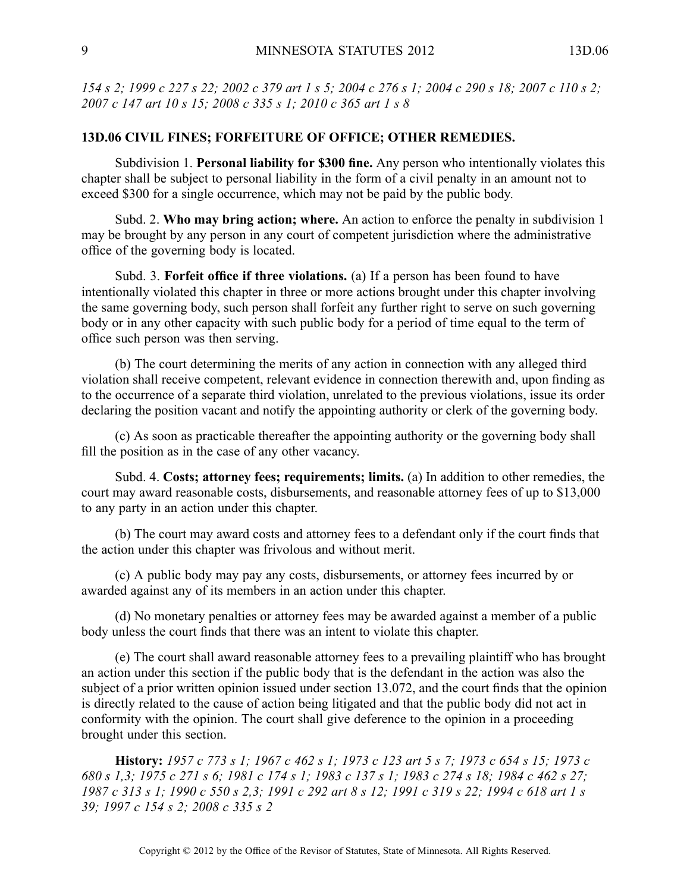154 s 2; 1999 c 227 s 22; 2002 c 379 art 1 s 5; 2004 c 276 s 1; 2004 c 290 s 18; 2007 c 110 s 2; *2007 <sup>c</sup> 147 art 10 <sup>s</sup> 15; 2008 <sup>c</sup> 335 <sup>s</sup> 1; 2010 <sup>c</sup> 365 art 1 <sup>s</sup> 8*

#### **13D.06 CIVIL FINES; FORFEITURE OF OFFICE; OTHER REMEDIES.**

Subdivision 1. **Personal liability for \$300 fine.** Any person who intentionally violates this chapter shall be subject to personal liability in the form of <sup>a</sup> civil penalty in an amount not to exceed \$300 for <sup>a</sup> single occurrence, which may not be paid by the public body.

Subd. 2. **Who may bring action; where.** An action to enforce the penalty in subdivision 1 may be brought by any person in any court of competent jurisdiction where the administrative office of the governing body is located.

Subd. 3. **Forfeit office if three violations.** (a) If <sup>a</sup> person has been found to have intentionally violated this chapter in three or more actions brought under this chapter involving the same governing body, such person shall forfeit any further right to serve on such governing body or in any other capacity with such public body for <sup>a</sup> period of time equal to the term of office such person was then serving.

(b) The court determining the merits of any action in connection with any alleged third violation shall receive competent, relevant evidence in connection therewith and, upon finding as to the occurrence of <sup>a</sup> separate third violation, unrelated to the previous violations, issue its order declaring the position vacant and notify the appointing authority or clerk of the governing body.

(c) As soon as practicable thereafter the appointing authority or the governing body shall fill the position as in the case of any other vacancy.

Subd. 4. **Costs; attorney fees; requirements; limits.** (a) In addition to other remedies, the court may award reasonable costs, disbursements, and reasonable attorney fees of up to \$13,000 to any party in an action under this chapter.

(b) The court may award costs and attorney fees to <sup>a</sup> defendant only if the court finds that the action under this chapter was frivolous and without merit.

(c) A public body may pay any costs, disbursements, or attorney fees incurred by or awarded against any of its members in an action under this chapter.

(d) No monetary penalties or attorney fees may be awarded against <sup>a</sup> member of <sup>a</sup> public body unless the court finds that there was an intent to violate this chapter.

(e) The court shall award reasonable attorney fees to <sup>a</sup> prevailing plaintiff who has brought an action under this section if the public body that is the defendant in the action was also the subject of <sup>a</sup> prior written opinion issued under section 13.072, and the court finds that the opinion is directly related to the cause of action being litigated and that the public body did not act in conformity with the opinion. The court shall give deference to the opinion in <sup>a</sup> proceeding brought under this section.

History: 1957 c 773 s 1; 1967 c 462 s 1; 1973 c 123 art 5 s 7; 1973 c 654 s 15; 1973 c 680 s 1,3; 1975 c 271 s 6; 1981 c 174 s 1; 1983 c 137 s 1; 1983 c 274 s 18; 1984 c 462 s 27; 1987 c 313 s 1; 1990 c 550 s 2,3; 1991 c 292 art 8 s 12; 1991 c 319 s 22; 1994 c 618 art 1 s *39; 1997 <sup>c</sup> 154 <sup>s</sup> 2; 2008 <sup>c</sup> 335 <sup>s</sup> 2*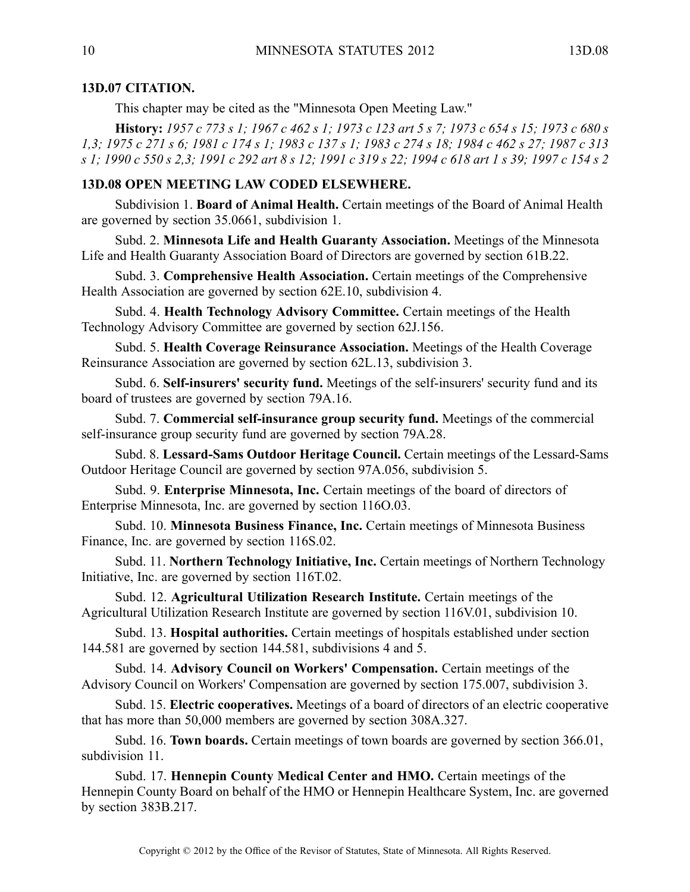# **13D.07 CITATION.**

This chapter may be cited as the "Minnesota Open Meeting Law."

History: 1957 c 773 s 1; 1967 c 462 s 1; 1973 c 123 art 5 s 7; 1973 c 654 s 15; 1973 c 680 s 1,3; 1975 c 271 s 6; 1981 c 174 s 1; 1983 c 137 s 1; 1983 c 274 s 18; 1984 c 462 s 27; 1987 c 313 s 1; 1990 c 550 s 2,3; 1991 c 292 art 8 s 12; 1991 c 319 s 22; 1994 c 618 art 1 s 39; 1997 c 154 s 2

## **13D.08 OPEN MEETING LAW CODED ELSEWHERE.**

Subdivision 1. **Board of Animal Health.** Certain meetings of the Board of Animal Health are governed by section 35.0661, subdivision 1.

Subd. 2. **Minnesota Life and Health Guaranty Association.** Meetings of the Minnesota Life and Health Guaranty Association Board of Directors are governed by section 61B.22.

Subd. 3. **Comprehensive Health Association.** Certain meetings of the Comprehensive Health Association are governed by section 62E.10, subdivision 4.

Subd. 4. **Health Technology Advisory Committee.** Certain meetings of the Health Technology Advisory Committee are governed by section 62J.156.

Subd. 5. **Health Coverage Reinsurance Association.** Meetings of the Health Coverage Reinsurance Association are governed by section 62L.13, subdivision 3.

Subd. 6. **Self-insurers' security fund.** Meetings of the self-insurers' security fund and its board of trustees are governed by section 79A.16.

Subd. 7. **Commercial self-insurance group security fund.** Meetings of the commercial self-insurance group security fund are governed by section 79A.28.

Subd. 8. **Lessard-Sams Outdoor Heritage Council.** Certain meetings of the Lessard-Sams Outdoor Heritage Council are governed by section 97A.056, subdivision 5.

Subd. 9. **Enterprise Minnesota, Inc.** Certain meetings of the board of directors of Enterprise Minnesota, Inc. are governed by section 116O.03.

Subd. 10. **Minnesota Business Finance, Inc.** Certain meetings of Minnesota Business Finance, Inc. are governed by section 116S.02.

Subd. 11. **Northern Technology Initiative, Inc.** Certain meetings of Northern Technology Initiative, Inc. are governed by section 116T.02.

Subd. 12. **Agricultural Utilization Research Institute.** Certain meetings of the Agricultural Utilization Research Institute are governed by section 116V.01, subdivision 10.

Subd. 13. **Hospital authorities.** Certain meetings of hospitals established under section 144.581 are governed by section 144.581, subdivisions 4 and 5.

Subd. 14. **Advisory Council on Workers' Compensation.** Certain meetings of the Advisory Council on Workers' Compensation are governed by section 175.007, subdivision 3.

Subd. 15. **Electric cooperatives.** Meetings of <sup>a</sup> board of directors of an electric cooperative that has more than 50,000 members are governed by section 308A.327.

Subd. 16. **Town boards.** Certain meetings of town boards are governed by section 366.01, subdivision 11.

Subd. 17. **Hennepin County Medical Center and HMO.** Certain meetings of the Hennepin County Board on behalf of the HMO or Hennepin Healthcare System, Inc. are governed by section 383B.217.